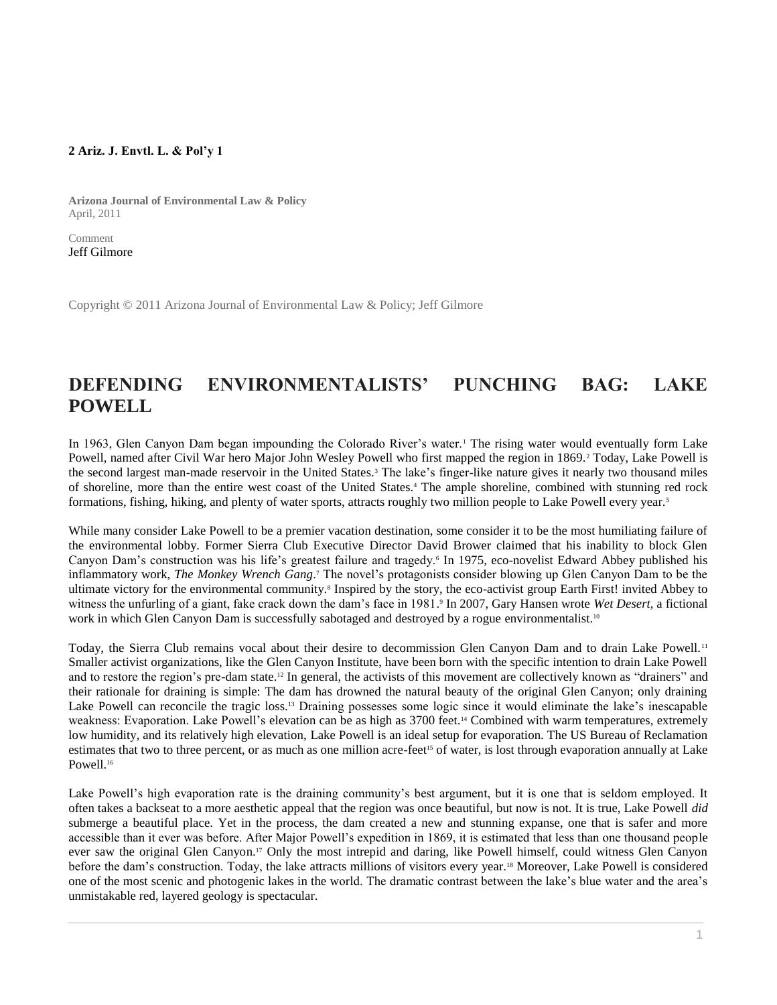## **2 Ariz. J. Envtl. L. & Pol'y 1**

**Arizona Journal of Environmental Law & Policy** April, 2011

Comment [Jeff Gilmore](http://www.westlaw.com/Link/Document/FullText?findType=h&pubNum=176284&cite=0486923001&originatingDoc=I1ed640e68c6911e498db8b09b4f043e0&refType=RQ&originationContext=document&vr=3.0&rs=cblt1.0&transitionType=DocumentItem&contextData=(sc.Search))

Copyright © 2011 Arizona Journal of Environmental Law & Policy; Jeff Gilmore

## **DEFENDING ENVIRONMENTALISTS' PUNCHING BAG: LAKE POWELL**

In 1963, Glen Canyon Dam began impounding the Colorado River's water.<sup>1</sup> The rising water would eventually form Lake Powell, named after Civil War hero Major John Wesley Powell who first mapped the region in 1869.<sup>2</sup> Today, Lake Powell is the second largest man-made reservoir in the United States.<sup>3</sup> The lake's finger-like nature gives it nearly two thousand miles of shoreline, more than the entire west coast of the United States.<sup>4</sup> The ample shoreline, combined with stunning red rock formations, fishing, hiking, and plenty of water sports, attracts roughly two million people to Lake Powell every year.<sup>5</sup>

While many consider Lake Powell to be a premier vacation destination, some consider it to be the most humiliating failure of the environmental lobby. Former Sierra Club Executive Director David Brower claimed that his inability to block Glen Canyon Dam's construction was his life's greatest failure and tragedy.<sup>6</sup> In 1975, eco-novelist Edward Abbey published his inflammatory work, *The Monkey Wrench Gang*. <sup>7</sup> The novel's protagonists consider blowing up Glen Canyon Dam to be the ultimate victory for the environmental community.<sup>8</sup> Inspired by the story, the eco-activist group Earth First! invited Abbey to witness the unfurling of a giant, fake crack down the dam's face in 1981. 9 In 2007, Gary Hansen wrote *Wet Desert*, a fictional work in which Glen Canyon Dam is successfully sabotaged and destroyed by a rogue environmentalist.<sup>10</sup>

Today, the Sierra Club remains vocal about their desire to decommission Glen Canyon Dam and to drain Lake Powell.<sup>11</sup> Smaller activist organizations, like the Glen Canyon Institute, have been born with the specific intention to drain Lake Powell and to restore the region's pre-dam state.<sup>12</sup> In general, the activists of this movement are collectively known as "drainers" and their rationale for draining is simple: The dam has drowned the natural beauty of the original Glen Canyon; only draining Lake Powell can reconcile the tragic loss.<sup>13</sup> Draining possesses some logic since it would eliminate the lake's inescapable weakness: Evaporation. Lake Powell's elevation can be as high as 3700 feet.<sup>14</sup> Combined with warm temperatures, extremely low humidity, and its relatively high elevation, Lake Powell is an ideal setup for evaporation. The US Bureau of Reclamation estimates that two to three percent, or as much as one million acre-feet<sup>15</sup> of water, is lost through evaporation annually at Lake Powell.<sup>16</sup>

Lake Powell's high evaporation rate is the draining community's best argument, but it is one that is seldom employed. It often takes a backseat to a more aesthetic appeal that the region was once beautiful, but now is not. It is true, Lake Powell *did* submerge a beautiful place. Yet in the process, the dam created a new and stunning expanse, one that is safer and more accessible than it ever was before. After Major Powell's expedition in 1869, it is estimated that less than one thousand people ever saw the original Glen Canyon.<sup>17</sup> Only the most intrepid and daring, like Powell himself, could witness Glen Canyon before the dam's construction. Today, the lake attracts millions of visitors every year.<sup>18</sup> Moreover, Lake Powell is considered one of the most scenic and photogenic lakes in the world. The dramatic contrast between the lake's blue water and the area's unmistakable red, layered geology is spectacular.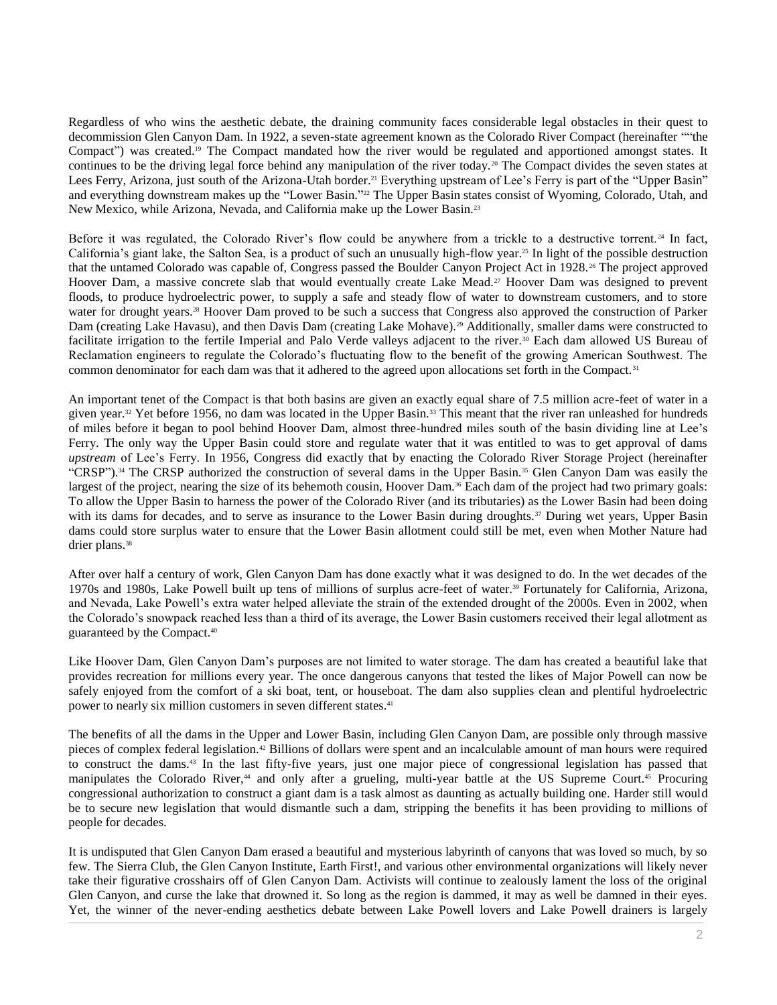Regardless of who wins the aesthetic debate, the draining community faces considerable legal obstacles in their quest to decommission Glen Canyon Dam. In 1922, a seven-state agreement known as the Colorado River Compact (hereinafter ""the Compact") was created.<sup>19</sup> The Compact mandated how the river would be regulated and apportioned amongst states. It continues to be the driving legal force behind any manipulation of the river today.<sup>20</sup> The Compact divides the seven states at Lees Ferry, Arizona, just south of the Arizona-Utah border.<sup>21</sup> Everything upstream of Lee's Ferry is part of the "Upper Basin" and everything downstream makes up the "Lower Basin." <sup>22</sup> The Upper Basin states consist of Wyoming, Colorado, Utah, and New Mexico, while Arizona, Nevada, and California make up the Lower Basin.<sup>23</sup>

Before it was regulated, the Colorado River's flow could be anywhere from a trickle to a destructive torrent.<sup>24</sup> In fact, California's giant lake, the Salton Sea, is a product of such an unusually high-flow year.<sup>25</sup> In light of the possible destruction that the untamed Colorado was capable of, Congress passed the Boulder Canyon Project Act in 1928. <sup>26</sup> The project approved Hoover Dam, a massive concrete slab that would eventually create Lake Mead.<sup>27</sup> Hoover Dam was designed to prevent floods, to produce hydroelectric power, to supply a safe and steady flow of water to downstream customers, and to store water for drought years.<sup>28</sup> Hoover Dam proved to be such a success that Congress also approved the construction of Parker Dam (creating Lake Havasu), and then Davis Dam (creating Lake Mohave).<sup>29</sup> Additionally, smaller dams were constructed to facilitate irrigation to the fertile Imperial and Palo Verde valleys adjacent to the river.<sup>30</sup> Each dam allowed US Bureau of Reclamation engineers to regulate the Colorado's fluctuating flow to the benefit of the growing American Southwest. The common denominator for each dam was that it adhered to the agreed upon allocations set forth in the Compact.<sup>31</sup>

An important tenet of the Compact is that both basins are given an exactly equal share of 7.5 million acre-feet of water in a given year.<sup>32</sup> Yet before 1956, no dam was located in the Upper Basin.<sup>33</sup> This meant that the river ran unleashed for hundreds of miles before it began to pool behind Hoover Dam, almost three-hundred miles south of the basin dividing line at Lee's Ferry. The only way the Upper Basin could store and regulate water that it was entitled to was to get approval of dams *upstream* of Lee's Ferry. In 1956, Congress did exactly that by enacting the Colorado River Storage Project (hereinafter "CRSP").<sup>34</sup> The CRSP authorized the construction of several dams in the Upper Basin.<sup>35</sup> Glen Canyon Dam was easily the largest of the project, nearing the size of its behemoth cousin, Hoover Dam.<sup>36</sup> Each dam of the project had two primary goals: To allow the Upper Basin to harness the power of the Colorado River (and its tributaries) as the Lower Basin had been doing with its dams for decades, and to serve as insurance to the Lower Basin during droughts.<sup>37</sup> During wet years, Upper Basin dams could store surplus water to ensure that the Lower Basin allotment could still be met, even when Mother Nature had drier plans.<sup>38</sup>

After over half a century of work, Glen Canyon Dam has done exactly what it was designed to do. In the wet decades of the 1970s and 1980s, Lake Powell built up tens of millions of surplus acre-feet of water.<sup>39</sup> Fortunately for California, Arizona, and Nevada, Lake Powell's extra water helped alleviate the strain of the extended drought of the 2000s. Even in 2002, when the Colorado's snowpack reached less than a third of its average, the Lower Basin customers received their legal allotment as guaranteed by the Compact.<sup>40</sup>

Like Hoover Dam, Glen Canyon Dam's purposes are not limited to water storage. The dam has created a beautiful lake that provides recreation for millions every year. The once dangerous canyons that tested the likes of Major Powell can now be safely enjoyed from the comfort of a ski boat, tent, or houseboat. The dam also supplies clean and plentiful hydroelectric power to nearly six million customers in seven different states.<sup>41</sup>

The benefits of all the dams in the Upper and Lower Basin, including Glen Canyon Dam, are possible only through massive pieces of complex federal legislation.<sup>42</sup> Billions of dollars were spent and an incalculable amount of man hours were required to construct the dams.<sup>43</sup> In the last fifty-five years, just one major piece of congressional legislation has passed that manipulates the Colorado River,<sup>44</sup> and only after a grueling, multi-year battle at the US Supreme Court.<sup>45</sup> Procuring congressional authorization to construct a giant dam is a task almost as daunting as actually building one. Harder still would be to secure new legislation that would dismantle such a dam, stripping the benefits it has been providing to millions of people for decades.

It is undisputed that Glen Canyon Dam erased a beautiful and mysterious labyrinth of canyons that was loved so much, by so few. The Sierra Club, the Glen Canyon Institute, Earth First!, and various other environmental organizations will likely never take their figurative crosshairs off of Glen Canyon Dam. Activists will continue to zealously lament the loss of the original Glen Canyon, and curse the lake that drowned it. So long as the region is dammed, it may as well be damned in their eyes. Yet, the winner of the never-ending aesthetics debate between Lake Powell lovers and Lake Powell drainers is largely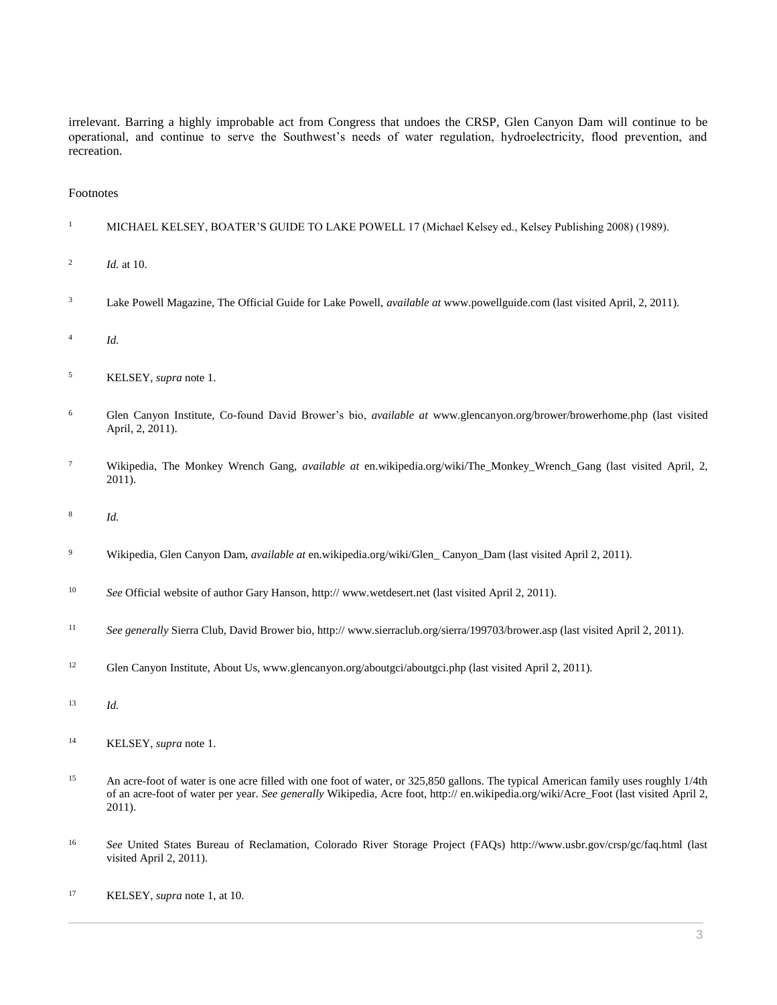irrelevant. Barring a highly improbable act from Congress that undoes the CRSP, Glen Canyon Dam will continue to be operational, and continue to serve the Southwest's needs of water regulation, hydroelectricity, flood prevention, and recreation.

## Footnotes

- <sup>1</sup> MICHAEL KELSEY, BOATER'S GUIDE TO LAKE POWELL 17 (Michael Kelsey ed., Kelsey Publishing 2008) (1989).
- 2 *Id.* at 10.
- <sup>3</sup> Lake Powell Magazine, The Official Guide for Lake Powell, *available at* www.powellguide.com (last visited April, 2, 2011).
- 4 *Id.*
- <sup>5</sup> KELSEY, *supra* note 1.
- <sup>6</sup> Glen Canyon Institute, Co-found David Brower's bio, *available at* www.glencanyon.org/brower/browerhome.php (last visited April, 2, 2011).
- <sup>7</sup> Wikipedia, The Monkey Wrench Gang, *available at* en.wikipedia.org/wiki/The\_Monkey\_Wrench\_Gang (last visited April, 2, 2011).
- 8 *Id.*
- <sup>9</sup> Wikipedia, Glen Canyon Dam, *available at* en.wikipedia.org/wiki/Glen\_ Canyon\_Dam (last visited April 2, 2011).
- <sup>10</sup> *See* Official website of author Gary Hanson, http:// www.wetdesert.net (last visited April 2, 2011).
- <sup>11</sup> *See generally* Sierra Club, David Brower bio, http:// www.sierraclub.org/sierra/199703/brower.asp (last visited April 2, 2011).
- <sup>12</sup> Glen Canyon Institute, About Us, www.glencanyon.org/aboutgci/aboutgci.php (last visited April 2, 2011).
- <sup>13</sup> *Id.*
- <sup>14</sup> KELSEY, *supra* note 1.
- <sup>15</sup> An acre-foot of water is one acre filled with one foot of water, or 325,850 gallons. The typical American family uses roughly 1/4th of an acre-foot of water per year. *See generally* Wikipedia, Acre foot, http:// en.wikipedia.org/wiki/Acre\_Foot (last visited April 2, 2011).
- <sup>16</sup> *See* United States Bureau of Reclamation, Colorado River Storage Project (FAQs) http://www.usbr.gov/crsp/gc/faq.html (last visited April 2, 2011).
- <sup>17</sup> KELSEY, *supra* note 1, at 10.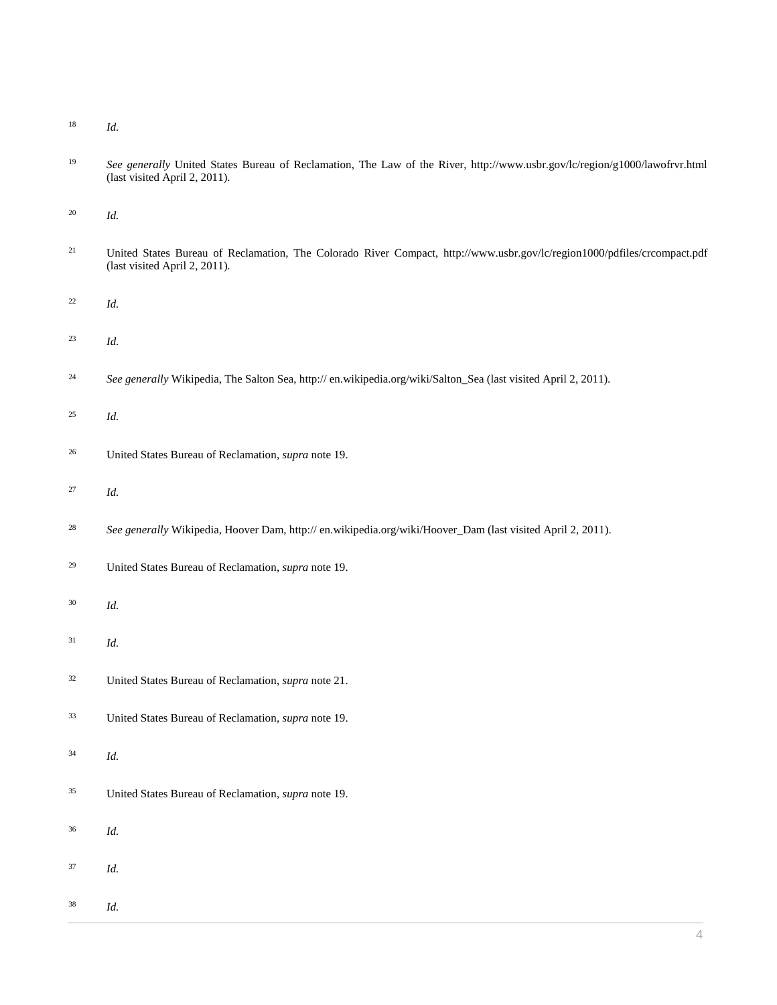*Id.*

 *See generally* United States Bureau of Reclamation, The Law of the River, http://www.usbr.gov/lc/region/g1000/lawofrvr.html (last visited April 2, 2011).

*Id.*

- <sup>21</sup> United States Bureau of Reclamation, The Colorado River Compact, http://www.usbr.gov/lc/region1000/pdfiles/crcompact.pdf (last visited April 2, 2011).
- *Id.*
- *Id.*
- *See generally* Wikipedia, The Salton Sea, http:// en.wikipedia.org/wiki/Salton\_Sea (last visited April 2, 2011).
- *Id.*
- United States Bureau of Reclamation, *supra* note 19.
- *Id.*
- <sup>28</sup> *See generally* Wikipedia, Hoover Dam, http:// en.wikipedia.org/wiki/Hoover\_Dam (last visited April 2, 2011).
- United States Bureau of Reclamation, *supra* note 19.
- *Id.*
- *Id.*
- United States Bureau of Reclamation, *supra* note 21.
- United States Bureau of Reclamation, *supra* note 19.
- *Id.*
- United States Bureau of Reclamation, *supra* note 19.
- *Id.*
- *Id.*
- *Id.*